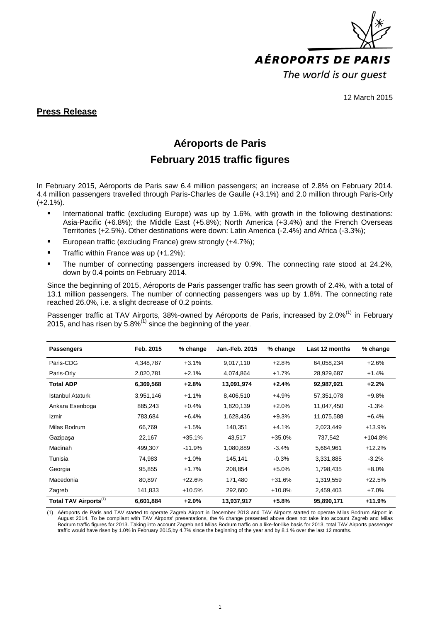

12 March 2015

#### **Press Release**

## **Aéroports de Paris**

### **February 2015 traffic figures**

In February 2015, Aéroports de Paris saw 6.4 million passengers; an increase of 2.8% on February 2014. 4.4 million passengers travelled through Paris-Charles de Gaulle (+3.1%) and 2.0 million through Paris-Orly  $(+2.1\%)$ .

- International traffic (excluding Europe) was up by 1.6%, with growth in the following destinations: Asia-Pacific (+6.8%); the Middle East (+5.8%); North America (+3.4%) and the French Overseas Territories (+2.5%). Other destinations were down: Latin America (-2.4%) and Africa (-3.3%);
- European traffic (excluding France) grew strongly (+4.7%);
- Traffic within France was up (+1.2%);
- The number of connecting passengers increased by 0.9%. The connecting rate stood at 24.2%, down by 0.4 points on February 2014.

Since the beginning of 2015, Aéroports de Paris passenger traffic has seen growth of 2.4%, with a total of 13.1 million passengers. The number of connecting passengers was up by 1.8%. The connecting rate reached 26.0%, i.e. a slight decrease of 0.2 points.

Passenger traffic at TAV Airports, 38%-owned by Aéroports de Paris, increased by 2.0%<sup>(1)</sup> in February 2015, and has risen by 5.8% $^{(1)}$  since the beginning of the year.

| <b>Passengers</b>                 | Feb. 2015 | % change | Jan.-Feb. 2015 | $%$ change | Last 12 months | % change  |
|-----------------------------------|-----------|----------|----------------|------------|----------------|-----------|
| Paris-CDG                         | 4,348,787 | $+3.1%$  | 9,017,110      | $+2.8%$    | 64,058,234     | $+2.6%$   |
| Paris-Orly                        | 2,020,781 | $+2.1%$  | 4,074,864      | $+1.7%$    | 28,929,687     | $+1.4%$   |
| <b>Total ADP</b>                  | 6,369,568 | $+2.8%$  | 13,091,974     | $+2.4%$    | 92,987,921     | $+2.2%$   |
| <b>Istanbul Ataturk</b>           | 3,951,146 | $+1.1%$  | 8,406,510      | $+4.9%$    | 57,351,078     | $+9.8%$   |
| Ankara Esenboga                   | 885,243   | $+0.4%$  | 1,820,139      | $+2.0%$    | 11,047,450     | $-1.3%$   |
| Izmir                             | 783,684   | $+6.4%$  | 1,628,436      | $+9.3%$    | 11,075,588     | $+6.4%$   |
| Milas Bodrum                      | 66,769    | $+1.5%$  | 140,351        | $+4.1%$    | 2,023,449      | $+13.9%$  |
| Gazipaşa                          | 22,167    | $+35.1%$ | 43,517         | $+35.0%$   | 737,542        | $+104.8%$ |
| Madinah                           | 499,307   | $-11.9%$ | 1,080,889      | $-3.4%$    | 5,664,961      | $+12.2%$  |
| Tunisia                           | 74,983    | $+1.0%$  | 145,141        | $-0.3%$    | 3,331,885      | $-3.2%$   |
| Georgia                           | 95,855    | $+1.7%$  | 208,854        | $+5.0%$    | 1,798,435      | $+8.0%$   |
| Macedonia                         | 80,897    | $+22.6%$ | 171,480        | $+31.6%$   | 1,319,559      | $+22.5%$  |
| Zagreb                            | 141,833   | +10.5%   | 292,600        | $+10.8%$   | 2,459,403      | $+7.0%$   |
| Total TAV Airports <sup>(1)</sup> | 6,601,884 | $+2.0%$  | 13,937,917     | $+5.8%$    | 95,890,171     | +11.9%    |

(1) Aéroports de Paris and TAV started to operate Zagreb Airport in December 2013 and TAV Airports started to operate Milas Bodrum Airport in August 2014. To be compliant with TAV Airports' presentations, the % change presented above does not take into account Zagreb and Milas Bodrum traffic figures for 2013. Taking into account Zagreb and Milas Bodrum traffic on a like-for-like basis for 2013, total TAV Airports passenger traffic would have risen by 1.0% in February 2015,by 4.7% since the beginning of the year and by 8.1 % over the last 12 months.